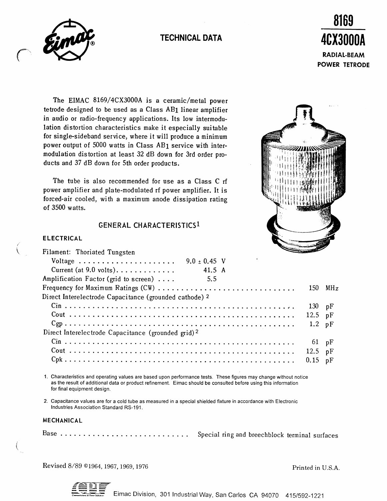# TECHNICAL DATA



 $\cap$ 



The EIMAC 8169/4CX3000A is a ceramic/metal power tetrode designed to be used as a Class AB1 linear amplifier in audio or radio-frequency applications. Its low intermodulation distortion characteristics make it especially suitable for single-sideband service, where it will produce a minimum power output of 5000 watts in Class AB1 service with intermodulation distortion at least 32 dB down for 3rd order products and 37 dB down for 5th order products.

The tube is also recommended for use as a Class C rf power amplifier and plate-modulated rf power amplifier. It is forced-air cooled, with a maximum anode dissipation rating of 3500 watts.

## **GENERAL CHARACTERISTICS1**

### **ELECTRICAL**

Filament: Thoriated Tungsten



| Voltage                                                        | $9.0 \pm 0.45$ V |  |                  |           |
|----------------------------------------------------------------|------------------|--|------------------|-----------|
| Current (at $9.0$ volts)                                       | 41.5 A           |  |                  |           |
| Amplification Factor (grid to screen)                          | 5.5              |  |                  |           |
|                                                                |                  |  |                  | $150$ MHz |
| Direct Interelectrode Capacitance (grounded cathode) 2         |                  |  |                  |           |
|                                                                |                  |  | $130$ pF         |           |
|                                                                |                  |  | 12.5 $pF$        |           |
|                                                                |                  |  | $1.2 \text{ pF}$ |           |
| Direct Interelectrode Capacitance (grounded grid) <sup>2</sup> |                  |  |                  |           |
|                                                                |                  |  | $61$ pF          |           |
|                                                                |                  |  | 12.5 $pF$        |           |
|                                                                |                  |  | $0.15$ pF        |           |
|                                                                |                  |  |                  |           |

1 . Characteristics and operating values are based upon performance tests. These figures may change without notice as the result of additional data or product reflnement. Eimac should be consulted before using this information for final equipment design.

2. Capacitance values are for a cold tube as measured in a special shielded fixture in accordance with Electronic lndustries Association Standard RS-191 .

### MECHANICAL

Base ............................. Special ring and breechblock terminal surfaces

Revised 8/89 ©1964, 1967, 1969, 1976 Printed in U.S.A.

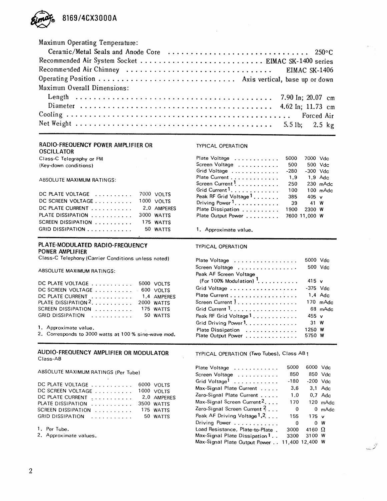

| Maximum Operating Temperature: |
|--------------------------------|
|                                |
|                                |
|                                |
|                                |
| Maximum Overall Dimensions:    |
|                                |
|                                |
|                                |
|                                |

#### RADIO-FREQUENCY POWER AMPLIFIER OR

OSCILLATOR Class-C Telegraphy or FM

(Key-down conditions)

ABSOLUTE MAXIMUM RATINGS:

| DC PLATE VOLTAGE  7000 VOLTS  |          | Peak RF Grid Voltage <sup>1</sup> 385 | . | .<br>$405 \text{ v}$ |  |
|-------------------------------|----------|---------------------------------------|---|----------------------|--|
| DC SCREEN VOLTAGE 1000 VOLTS  |          | Driving Power <sup>1</sup> 39 41 W    |   |                      |  |
| DC PLATE CURRENT 2.0 AMPERES  |          | Plate Dissipation                     |   | 1900 2300 W          |  |
| PLATE DISSIPATION  3000 WATTS |          | Plate Output Power 7600 11,000 W      |   |                      |  |
| SCREEN DISSIPATION  175 WATTS |          |                                       |   |                      |  |
| GRID DISSIPATION              | 50 WATTS | 1. Approximate value.                 |   |                      |  |

#### PLATE-MODULATED RADIO-FREQUENCY POWER AMPLIFIER

Class-C Telephony (Carrier Conditions unless noted)

ABSOLUTE MAXIMUM RATINGS:

| DC PLATE VOLTAGE 5000 VOLTS    |             |
|--------------------------------|-------------|
| DC SCREEN VOLTAGE  600 VOLTS   |             |
| DC PLATE CURRENT               | 1.4 AMPERES |
| PLATE DISSIPATION <sup>2</sup> | 2000 WATTS  |
| SCREEN DISSIPATION             | 175 WATTS   |
| GRID DISSIPATION               | 50 WATTS    |

1 . Approximate value,

2 . Corresponds to 3000 watts at 100 % sine-wave mod.

#### AUDIO-FREQUENCY AMPLIFIER OR MODULATOR Class-AB

| DC PLATE VOLTAGE   | 6000 VOLTS  |
|--------------------|-------------|
| DC SCREEN VOLTAGE  | 1000 VOLTS  |
| DC PLATE CURRENT   | 2.0 AMPERES |
| PLATE DISSIPATION  | 3500 WATTS  |
| SCREEN DISSIPATION | 175 WATTS   |
| GRID DISSIPATION   | 50 WATTS    |

1. Per Tube.

### TYPICAL OPERATION

1. Approximate value.

TYPICAL OPERATION

| 5000 Vdc   |                                                            |
|------------|------------------------------------------------------------|
|            |                                                            |
|            |                                                            |
|            |                                                            |
| $-375$ Vdc |                                                            |
|            |                                                            |
|            | 170 mAdc                                                   |
|            | 68 mAdc                                                    |
|            |                                                            |
|            |                                                            |
| 1250 W     |                                                            |
| 5750 W     |                                                            |
|            | 500 Vdc<br>$415$ v<br>$1.4$ Adc<br>$455 \text{ v}$<br>31 W |

TYPICAL OPERATION (Two Tubes), Class AB 1

|                                                          |                          | Plate Voltage                          | 5000        | 6000 Vdc        |                |
|----------------------------------------------------------|--------------------------|----------------------------------------|-------------|-----------------|----------------|
| ABSOLUTE MAXIMUM RATINGS (Per Tube)                      |                          | Screen Voltage                         | 850         |                 | $850$ Vdc      |
| DC PLATE VOLTAGE $\,\ldots\, \ldots\, \ldots\, \ldots\,$ |                          | Grid Voltage <sup>1</sup>              | -180        | $-200$ Vdc      |                |
| DC SCREEN VOLTAGE                                        | 6000 VOLTS<br>1000 VOLTS | Max-Signal Plate Current               | 3.6         |                 | $3.1$ Adc      |
| DC PLATE CURRENT $\ldots \ldots \ldots$                  | 2.0 AMPERES              | Zero-Signal Plate Current              | 1.0         |                 | $0.7$ Adc      |
| PLATE DISSIPATION $\ldots \ldots \ldots$                 | 3500 WATTS               | Max-Signal Screen Current <sup>2</sup> | 170         |                 | 120 mAdc       |
| $SCREEN\ DISSIPATION\ \dots\ \dots\ \dots\ \dots\$       | 175 WATTS                | Zero-Signal Screen Current $2$         | $\mathbf 0$ |                 | $0$ mAdc       |
| GRID DISSIPATION                                         | 50 WATTS                 | Peak AF Driving Voltage 1.2.           | 155         | 175 v           |                |
|                                                          |                          | Driving Power                          | $\Omega$    |                 | $0 \mathsf{W}$ |
| 1. Per Tube.                                             |                          | Load Resistance, Plate-to-Plate.       | 3000        | 4160 $\Omega$   |                |
| 2. Approximate values.                                   |                          | Max-Signal Plate Dissipation 1         | 3300        | 3100 W          |                |
|                                                          |                          | Max-Signal Plate Output Power          |             | 11,400 12,400 W |                |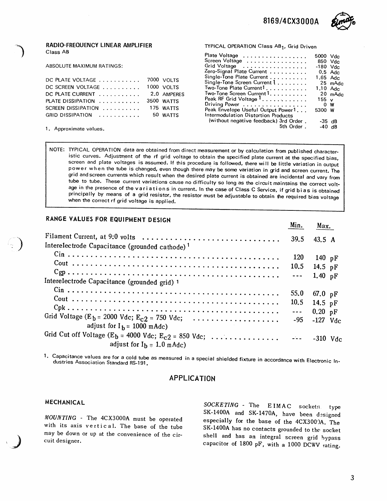8169/4CX3000A



#### RADIO-FREQUENCY LINEAR AMPLIFIER Class AB

ABSOLUTE MAXIMUM RATINGS:

| DC PLATE VOLTAGE   | 7000 VOLTS  |
|--------------------|-------------|
| DC SCREEN VOLTAGE  | 1000 VOLTS  |
| DC PLATE CURRENT   | 2.0 AMPERES |
| PLATE DISSIPATION  | 3500 WATTS  |
| SCREEN DISSIPATION | 175 WATTS   |
| GRID DISSIPATION   | 50 WATTS    |

1. Approximate values.

TYPICAL OPERATION Class AB<sub>1</sub>, Grid Driven

| Plate Voltage                          | 5000 Vdc           |         |
|----------------------------------------|--------------------|---------|
| Screen Voltage                         | 850 Vdc            |         |
| Grid Voltage                           | $-180$ Vdc         |         |
| Zero-Signal Plate Current              | $0.5$ Adc          |         |
| Single-Tone Plate Current              | 1.65 Adc           |         |
| Single-Tone Screen Current 1           |                    | 25 mAdc |
| Two-Tone Plate Current1.               | 1.10 $_{\rm{Adc}}$ |         |
| Two-Tone Screen Current 1.             |                    | 20 mAdc |
| Peak RF Grid Voltage <sup>1</sup>      | 155 <sub>v</sub>   |         |
| Driving Power                          | 0 W                |         |
| Peak Envelope Useful Output Power1     | 5300 W             |         |
| Intermodulation Distortion Products    |                    |         |
| (without negative feedback) 3rd Order. | $-35$ dB           |         |
| 5th Order.                             | $-40$ dB           |         |
|                                        |                    |         |

NOTE: TYPICAL OPERATION data are obtained from direct measurement or by calculation from published characteristic curves. Adjustment of the rf grid voltage to obtain the specified plate current at the specified bias, screen and plate voltages is assumed. If this procedure is followed, there will be little variation in output<br>power when the tube is changed, even though there may be some variation in grid and screen current. The grid and screen currents which result when the desired plate current is obtained are incidental and vary from<br>tube to tube. These current variations cause no difficulty so long as the circuit maintains the correct volt-<br>ag principally by means of a grid resistor, the resistor must be adjustable to obtain the required bias voltage when the correct rf grid voltage is applied.

## RANGE VALUES FOR EQUIPMENT DESIGN

|                                                            | Min.                 | Max.              |
|------------------------------------------------------------|----------------------|-------------------|
| Interelectrode Capacitance (grounded cathode) <sup>1</sup> | 39.5                 | 43.5A             |
|                                                            | <b>120</b>           | 140 $pF$          |
|                                                            | 10.5                 | 14.5 pF           |
| Interelectrode Capacitance (grounded grid) 1               | $- - -$              | 1.40 $pF$         |
|                                                            | 55.0                 | 67.0 $pF$         |
|                                                            |                      | 10.5 14.5 pF      |
|                                                            | $\sim$ $\sim$ $\sim$ | $0.20 \text{ pF}$ |
| Grid Voltage ( $E_b$ = 2000 Vdc; $E_{c2}$ = 750 Vdc;       |                      | $-95 - 127$ Vdc   |
| adjust for $I_h = 1000 \text{ m} \text{A}$ dc)             |                      |                   |
| adjust for $I_h = 1.0$ mAdc)                               |                      |                   |

1. Capacitance values are for a cold tube as measured in a special shielded fixture in accordance with Electronic In-<br>dustries Association Standard RS-191. dustries Association Standard

## APPLICATION

### **MECHANICAL**

.<br>م

MOUNTING - The 4CX3000A must be operated with its axis vertical. The base of the tube may be down or up at the convenience of the cir-<br>cuit designer. cuit designer.

SOCKETING - The EIMAC sockets type SK-1400A and SK-1470A, have been designed especially for the base of the 4CX300.)A. The SK-1400A has no contacts grounded to the socket shell and has an integral screen grid bypass capacitor of 1800 pF, with a 1000 DCWV rating.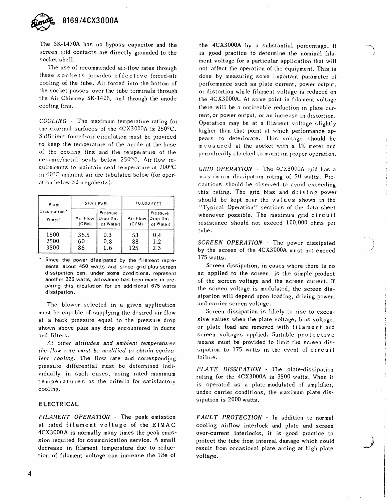

The SK-1470A has no bypass capacitor and the screen grid contacts are directly grounded to the socket shell.

The use of recommended air-flow rates through these sockets provides ef fective forced-air cooling of the tube. Air forced into the bottom of the socket passes over the tube terminals through the Air Chimney SK-1406, and through the anode cooling fins.

COOLING - The maximum temperature rating for the external surfaces of the  $4CX3000A$  is  $250^{\circ}C$ . Sufficient forced-air circulation must be provided to keep the temperature of the anode at the base of the cooling fins and the temperature of the ceramic/metal seals below 250"C. Air-flow requirements to maintain seal temperature at  $200^{\circ}$ C in 40°C ambient air are tabulated below (for operation below 30 megahertz).

| Plate                             |                   | <b>SEALEVEL</b>                    | 10,000 FEET       |                                           |  |
|-----------------------------------|-------------------|------------------------------------|-------------------|-------------------------------------------|--|
| Dissipation <sup>*</sup><br>Wats) | Air Flow<br>(CFM) | Pressure<br>Drop (In.<br>of Water) | Air Flow<br>(CFM) | <b>Pressure</b><br>Drop (In.<br>of Water) |  |
| 1500<br>2500<br>3500              | 36.5<br>60<br>86  | 0.3<br>0.8<br>1.6                  | 53<br>88<br>125   | 0.4<br>1.2<br>2.3                         |  |

Since the power dissipated by the filament represents about 450 watts and since grid-plus-screen dissipation can, under some conditions, represent another 225 watts, allowance has been made in preparing this tabulation for an additional 675 watts dissipation.

The blower selected in a given application must be capable of supplying the desired air flow at a back pressure equal to the pressure drop shown above plus any drop encountered in ducts and filters.

At other altitudes and ambient temperatures the flow rate must be modified to obtain equivalent cooling. The flow rate and corresponding pressure differential must be determined individually in such cases, using rated maximum temperatures as the criteria for satisfactory cooling.

#### **ELECTRICAL**

FILAMENT OPERATION - The peak emission at rated filament voltage of the EIMAC 4CX3000A is normally many times the peak emission required for communication service. A small decrease in filament temperature due to reduction of filament voltage can increase the life of the 4CX3000A by a substantial percentage. It is god practice to determine the nominal filament voltage for a particular application that will not affect the operation of the equipment. This is done by measuring some important parameter of performance such as plate current, power output, or distortion while filament voltage is reduced on the 4CX3000A. At some point in filament voltage there will be a noticeable reduction in plate current, or power output, or an increase in distortion. Operation may be at a filament voltage slightly higher than that point at which performance appears to deteriorate. This voltage should be measured at the socket with a 1% meter and periodically checked to maintain proper operation.

1 ,:.

"N \*J

GRID OPERATION - The 4CX3000A grid has a maximum dissipation rating of 50 watts. Precautions should be observed to avoid exceeding this rating. The grid bias and driving power should be kept near the values shown in the "Typical Operation" sections of the data sheet whenever possible. The maximum grid circuit resistance should not exceed 100,000 ohms per tube.

SCREEN OPERATION - The power dissipated by the screen of the 4CX3000A must not exceed 175 watts.

Screen dissipation, in cases where there is no ac applied to the screen, is the simple product of the screen voltage and the screen current. If the screen voltage is modulated, the screen dissipation will depend upon loading, driving power, and carrier screen voltage.

Screen dissipation is likely to rise to excessive values when the plate voltage, bias voltage, or plate load are removed with filament and screen voltages applied. Suitable protective means must be provided to limit the screen dissipation to 175 watts in the event of circuit failure.

PLATE DISSIPATION - The plate-dissipation rating for the 4cx3000A is 3500 watts. when it is operated as a plate-modulated rf amplifier, under carrier conditions, the maximum plate dissipation is 2000 watts.

FAULT PROTECTION - In addition to normal cooling airflow interlock and plate and screen over-current interlocks, it is good practice to protect the tube from internal damage which could result from occasional plate arcing at high plate voltage.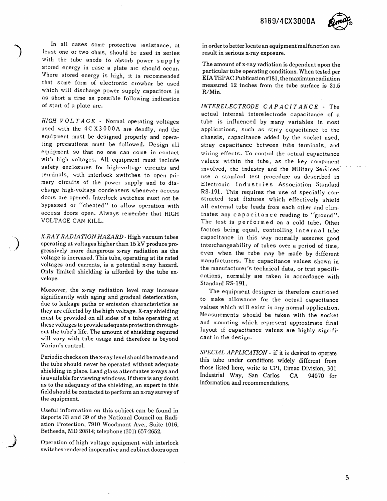8169/4CX3000A



In all cases some protective resistance, at least one or two ohms, should be used in series with the tube anode to absorb power  $supply$ stored energy in case a plate arc should occur. Where stored energy is high, it is recommended that some form of electronic crowbar be used which will discharge power supply capacitors in as short a time as possible following indication of start of a plate arc.

 $HIGH$   $VOLTAGE$  - Normal operating voltages used with the 4CX3000A are deadly, and the equipment must be designed properly and operating precautions must be followed. Design all equipment so that no one can come in contact with high voltages. All equipment must include safety enclosures for high-voltage circuits and terminals, with interlock switches to open primary circuits of the power supply and to discharge high-voltage condensers whenever access doors are opened. Interlock switches must not be bypassed or "cheated" to allow operation with access doors open. Always remember that HIGH VOLTAGE CAN KILL.

X-RAY RADIATION HAZARD - High vacuum tubes operating at voltages higher than 15 kV produce progressively more dangerous x-ray radiation as the voltage is increased. This tube, operating at its rated voltages and currents, is a potential x-ray hazard. Only limited shielding is afforded by the tube envelope.

1 ,/

 $\bigcup$ 

Moreover, the x-ray radiation level may increase significantly with aging and gradual deterioration, due to leakage paths or emission characteristics as they are effected by the high voltage. X-ray shielding must be provided on all sides of a tube operating at these voltages to provide adequate protection throughout the tube's life. The amount of shielding required will vary with tube usage and therefore is beyond Varian's control.

Periodic checks on the x-ray level should be made and the tube should never be operated without adequate shielding in place. Lead glass attentuates x-rays and is available for viewing windows. If there is any doubt as to the adequacy of the shielding, an expert in this field should be contacted to perform an x-ray survey of the equipment.

Useful information on this subject can be found in Reports 33 and 39 of the National Council on Radiation Protection, 7910 Woodmont Ave., Suite 1016, Bethesda, MD 20814; telephone (301) 657-2652.

Operation of high voltage equipment with interlock switches rendered inoperative and cabinet doors open in order to better locate an equipment malfunction can result in serious x-ray exposure.

The amount of x-ray radiation is dependent upon the particular tube operating conditions. When tested per EIATEPAC Publication #181, the maximum radiation measured 12 inches from the tube surface is 31.b R/Min.

INTERELECTRODE CAPACITANCE . The actual internal interelectrode capacitance of a tube is influenced by many variables in most applications, such as stray capacitance to the chassis, capacitance added by the socket used, stray capacitance between tube terminals, and wiring effects. To control the actual capacitance values within the tube, as the key component involved, the industry and the Military Services use a standard test procedure as described in Electronic Industries Association Standard RS-191. This requires the use of specially constructed test fixtures which effectively shield all external tube leads from each other and eliminates any capacitance reading to "ground". The test is performed on a cold tube. Other f.actors being equal, controlling internal tube capacitance in this way normally assures good interchangeability of tubes over a period of time, even when the tube may be made by different manufacturers. The capacitance values shown in the manufacturer's technical data, or test specifications, normally are taken in accordance with Standard RS-191.

The equipment designer is therefore cautioned to make allowance for the actual capacitance values which will exist in any normal application. Measurements should be taken with the socket and mounting which represent approximate final layout if capacitance values are highly significant in the design.

SPECIAL APPLICATION - if it is desired to operate this tube under conditions widely different from those listed here, write to CPI, Eimac Division, 301 Industrial Wuy, San Carlos CA 94070 for information and recommendations.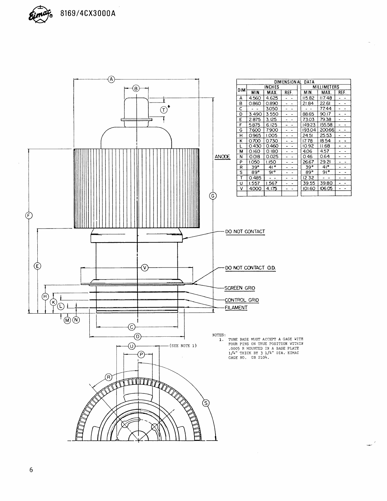

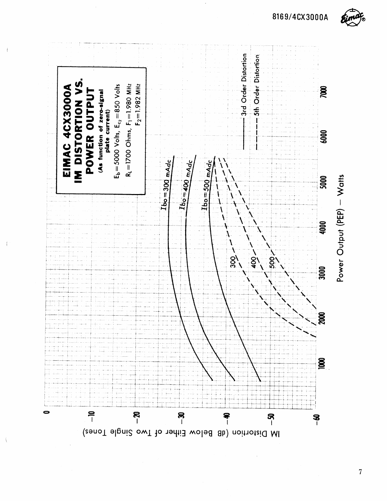

Power Output (PEP) - Watts

8169/4CX3000A

 $\overline{7}$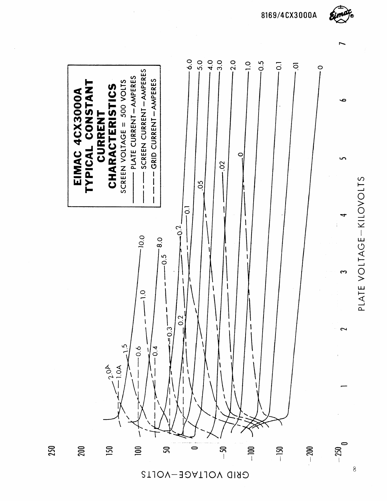8169/4CX3000A